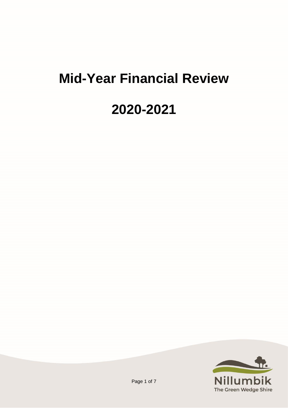# **Mid-Year Financial Review**

## **2020-2021**

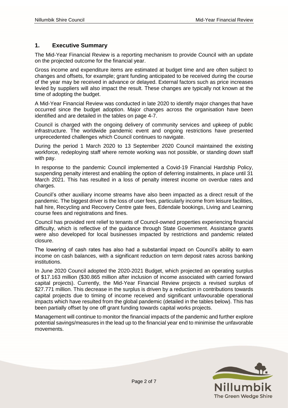### **1. Executive Summary**

The Mid-Year Financial Review is a reporting mechanism to provide Council with an update on the projected outcome for the financial year.

Gross income and expenditure items are estimated at budget time and are often subject to changes and offsets, for example; grant funding anticipated to be received during the course of the year may be received in advance or delayed. External factors such as price increases levied by suppliers will also impact the result. These changes are typically not known at the time of adopting the budget.

A Mid-Year Financial Review was conducted in late 2020 to identify major changes that have occurred since the budget adoption. Major changes across the organisation have been identified and are detailed in the tables on page 4-7.

Council is charged with the ongoing delivery of community services and upkeep of public infrastructure. The worldwide pandemic event and ongoing restrictions have presented unprecedented challenges which Council continues to navigate.

During the period 1 March 2020 to 13 September 2020 Council maintained the existing workforce, redeploying staff where remote working was not possible, or standing down staff with pay.

In response to the pandemic Council implemented a Covid-19 Financial Hardship Policy, suspending penalty interest and enabling the option of deferring instalments, in place until 31 March 2021. This has resulted in a loss of penalty interest income on overdue rates and charges.

Council's other auxiliary income streams have also been impacted as a direct result of the pandemic. The biggest driver is the loss of user fees, particularly income from leisure facilities, hall hire, Recycling and Recovery Centre gate fees, Edendale bookings, Living and Learning course fees and registrations and fines.

Council has provided rent relief to tenants of Council-owned properties experiencing financial difficulty, which is reflective of the guidance through State Government. Assistance grants were also developed for local businesses impacted by restrictions and pandemic related closure.

The lowering of cash rates has also had a substantial impact on Council's ability to earn income on cash balances, with a significant reduction on term deposit rates across banking institutions.

In June 2020 Council adopted the 2020-2021 Budget, which projected an operating surplus of \$17.163 million (\$30.865 million after inclusion of income associated with carried forward capital projects). Currently, the Mid-Year Financial Review projects a revised surplus of \$27.771 million. This decrease in the surplus is driven by a reduction in contributions towards capital projects due to timing of income received and significant unfavourable operational impacts which have resulted from the global pandemic (detailed in the tables below). This has been partially offset by one off grant funding towards capital works projects.

Management will continue to monitor the financial impacts of the pandemic and further explore potential savings/measures in the lead up to the financial year end to minimise the unfavorable movements.

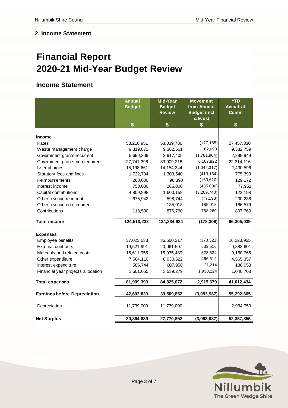### **2. Income Statement**

### **Financial Report 2020-21 Mid-Year Budget Review**

### **Income Statement**

|                                     | <b>Annual</b> | <b>Mid-Year</b> | <b>Movement</b>     | <b>YTD</b>           |  |
|-------------------------------------|---------------|-----------------|---------------------|----------------------|--|
|                                     | <b>Budget</b> | <b>Budget</b>   | from Annual         | <b>Actuals &amp;</b> |  |
|                                     |               | <b>Review</b>   | <b>Budget (incl</b> | <b>Comm</b>          |  |
|                                     |               |                 | c/fwds)             |                      |  |
|                                     | \$            | \$              | \$                  | \$                   |  |
|                                     |               |                 |                     |                      |  |
| Income                              |               |                 |                     |                      |  |
| Rates                               | 58,216,951    | 58,039,786      | (177, 165)          | 57,457,330           |  |
| Waste management charge             | 9,319,871     | 9,382,561       | 62,690              | 9,382,759            |  |
| Government grants-recurrent         | 5,699,309     | 3,917,405       | (1,781,904)         | 2,299,949            |  |
| Government grants-non-recurrent     | 27,741,396    | 33,909,218      | 6,167,822           | 22,314,116           |  |
| User charges                        | 15,198,661    | 14, 154, 344    | (1,044,317)         | 2,430,596            |  |
| Statutory fees and fines            | 1,722,704     | 1,309,540       | (413, 164)          | 775,393              |  |
| Reimbursements                      | 260,000       | 96,390          | (163, 610)          | 129,172              |  |
| Interest income                     | 750,000       | 265,000         | (485,000)           | 77,951               |  |
| Capital contributions               | 4,809,898     | 1,600,158       | (3,209,740)         | 123,198              |  |
| Other revenue-recurrent             | 675,942       | 598,744         | (77, 198)           | 230,236              |  |
| Other revenue-non-recurrent         |               | 185,018         | 185,018             | 186,579              |  |
| Contributions                       | 118,500       | 876,760         | 758,260             | 897,760              |  |
| <b>Total income</b>                 | 124,513,232   | 124,334,924     | (178, 308)          | 96,305,039           |  |
| <b>Expenses</b>                     |               |                 |                     |                      |  |
| Employee benefits                   | 37,023,538    | 36,650,217      | (373, 321)          | 16,223,955           |  |
| <b>External contracts</b>           | 19,521,991    | 20,061,507      | 539,516             | 9,883,601            |  |
| Materials and related costs         | 15,611,955    | 15,935,489      | 323,534             | 9,160,765            |  |
| Other expenditure                   | 7,564,110     | 8,030,622       | 466,512             | 4,565,357            |  |
| Interest expenditure                | 586,744       | 607,958         | 21,214              | 138,053              |  |
|                                     |               |                 |                     |                      |  |
| Financial year projects allocation  | 1,601,055     | 3,539,279       | 1,938,224           | 1,040,703            |  |
| <b>Total expenses</b>               | 81,909,393    | 84,825,072      | 2,915,679           | 41,012,434           |  |
| <b>Earnings before Depreciation</b> | 42,603,839    | 39,509,852      | (3,093,987)         | 55,292,605           |  |
| Depreciation                        | 11,739,000    | 11,739,000      |                     | 2,934,750            |  |
| <b>Net Surplus</b>                  | 30,864,839    | 27,770,852      | (3,093,987)         | 52,357,855           |  |

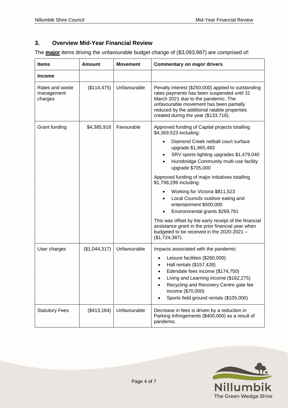### **3. Overview Mid-Year Financial Review**

The **major** items driving the unfavourable budget change of (\$3,093,987) are comprised of:

| <b>Items</b>                             | Amount        | <b>Movement</b> | Commentary on major drivers                                                                                                                                                                                                                                                                                                                                                                                                                                                                                                                                                                                                                                                       |  |
|------------------------------------------|---------------|-----------------|-----------------------------------------------------------------------------------------------------------------------------------------------------------------------------------------------------------------------------------------------------------------------------------------------------------------------------------------------------------------------------------------------------------------------------------------------------------------------------------------------------------------------------------------------------------------------------------------------------------------------------------------------------------------------------------|--|
| <b>Income</b>                            |               |                 |                                                                                                                                                                                                                                                                                                                                                                                                                                                                                                                                                                                                                                                                                   |  |
| Rates and waste<br>management<br>charges | (\$114, 475)  | Unfavourable    | Penalty interest (\$250,000) applied to outstanding<br>rates payments has been suspended until 31<br>March 2021 due to the pandemic. The<br>unfavourable movement has been partially<br>reduced by the additional ratable properties<br>created during the year (\$133,716).                                                                                                                                                                                                                                                                                                                                                                                                      |  |
| Grant funding                            | \$4,385,918   | Favourable      | Approved funding of Capital projects totalling<br>\$4,369,523 including:<br>Diamond Creek netball court surface<br>upgrade \$1,965,483<br>SRV sports lighting upgrades \$1,479,040<br>$\bullet$<br>Hurstbridge Community multi-use facility<br>$\bullet$<br>upgrade \$705,000<br>Approved funding of major initiatives totalling<br>\$1,798,299 including:<br>Working for Victoria \$811,523<br>Local Councils outdoor eating and<br>٠<br>entertainment \$500,000<br>Environmental grants \$269,761<br>This was offset by the early receipt of the financial<br>assistance grant in the prior financial year when<br>budgeted to be received in the 2020-2021 -<br>(\$1,724,387). |  |
| User charges                             | (\$1,044,317) | Unfavourable    | Impacts associated with the pandemic:<br>Leisure facilities (\$260,000)<br>$\bullet$<br>Hall rentals (\$157,428)<br>Edendale fees income (\$174,750)<br>Living and Learning income (\$162,275)<br>Recycling and Recovery Centre gate fee<br>income (\$70,000)<br>Sports field ground rentals (\$105,000)                                                                                                                                                                                                                                                                                                                                                                          |  |
| <b>Statutory Fees</b>                    | (\$413, 164)  | Unfavourable    | Decrease in fees is driven by a reduction in<br>Parking Infringements (\$400,000) as a result of<br>pandemic.                                                                                                                                                                                                                                                                                                                                                                                                                                                                                                                                                                     |  |

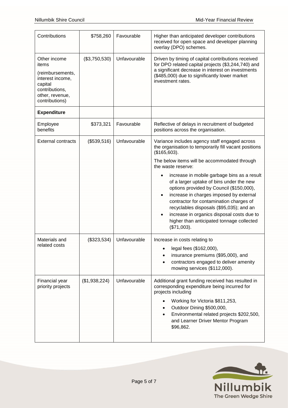| Contributions                                                                                                                   | \$758,260     | Favourable   | Higher than anticipated developer contributions<br>received for open space and developer planning<br>overlay (DPO) schemes.                                                                                                                                                                                                                                                                                                                                                                                                                                                                  |
|---------------------------------------------------------------------------------------------------------------------------------|---------------|--------------|----------------------------------------------------------------------------------------------------------------------------------------------------------------------------------------------------------------------------------------------------------------------------------------------------------------------------------------------------------------------------------------------------------------------------------------------------------------------------------------------------------------------------------------------------------------------------------------------|
| Other income<br>items<br>(reimbursements,<br>interest income,<br>capital<br>contributions,<br>other, revenue,<br>contributions) | (\$3,750,530) | Unfavourable | Driven by timing of capital contributions received<br>for DPO related capital projects (\$3,244,740) and<br>a significant decrease in interest on investments<br>(\$485,000) due to significantly lower market<br>investment rates.                                                                                                                                                                                                                                                                                                                                                          |
| <b>Expenditure</b>                                                                                                              |               |              |                                                                                                                                                                                                                                                                                                                                                                                                                                                                                                                                                                                              |
| Employee<br>benefits                                                                                                            | \$373,321     | Favourable   | Reflective of delays in recruitment of budgeted<br>positions across the organisation.                                                                                                                                                                                                                                                                                                                                                                                                                                                                                                        |
| <b>External contracts</b>                                                                                                       | (\$539,516)   | Unfavourable | Variance includes agency staff engaged across<br>the organisation to temporarily fill vacant positions<br>(\$165,603).<br>The below items will be accommodated through<br>the waste reserve:<br>increase in mobile garbage bins as a result<br>$\bullet$<br>of a larger uptake of bins under the new<br>options provided by Council (\$150,000),<br>increase in charges imposed by external<br>contractor for contamination charges of<br>recyclables disposals (\$95,035); and an<br>increase in organics disposal costs due to<br>higher than anticipated tonnage collected<br>(\$71,003). |
| Materials and<br>related costs                                                                                                  | (\$323,534)   | Unfavourable | Increase in costs relating to<br>legal fees (\$162,000),<br>insurance premiums (\$95,000), and<br>contractors engaged to deliver amenity<br>mowing services (\$112,000).                                                                                                                                                                                                                                                                                                                                                                                                                     |
| Financial year<br>priority projects                                                                                             | (\$1,938,224) | Unfavourable | Additional grant funding received has resulted in<br>corresponding expenditure being incurred for<br>projects including<br>Working for Victoria \$811,253,<br>Outdoor Dining \$500,000,<br>Environmental related projects \$202,500,<br>and Learner Driver Mentor Program<br>\$96,862.                                                                                                                                                                                                                                                                                                       |

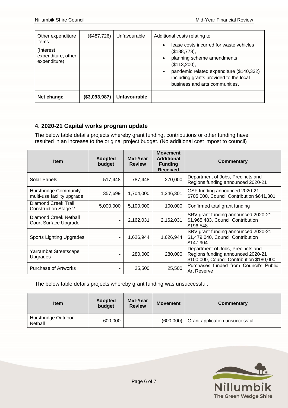| Other expenditure<br>items<br>(Interest)<br>expenditure, other<br>expenditure) | (\$487,726)   | Unfavourable | Additional costs relating to<br>lease costs incurred for waste vehicles<br>$\bullet$<br>(\$188,778),<br>planning scheme amendments<br>$\bullet$<br>(\$113,200),<br>pandemic related expenditure (\$140,332)<br>$\bullet$<br>including grants provided to the local<br>business and arts communities. |
|--------------------------------------------------------------------------------|---------------|--------------|------------------------------------------------------------------------------------------------------------------------------------------------------------------------------------------------------------------------------------------------------------------------------------------------------|
| Net change                                                                     | (\$3,093,987) | Unfavourable |                                                                                                                                                                                                                                                                                                      |

### **4. 2020-21 Capital works program update**

The below table details projects whereby grant funding, contributions or other funding have resulted in an increase to the original project budget. (No additional cost impost to council)

| <b>Item</b>                                                | <b>Adopted</b><br>budget | Mid-Year<br><b>Review</b> | <b>Movement</b><br><b>Additional</b><br><b>Funding</b><br><b>Received</b> | <b>Commentary</b>                                                                                                   |
|------------------------------------------------------------|--------------------------|---------------------------|---------------------------------------------------------------------------|---------------------------------------------------------------------------------------------------------------------|
| Solar Panels                                               | 517,448                  | 787,448                   | 270,000                                                                   | Department of Jobs, Precincts and<br>Regions funding announced 2020-21                                              |
| <b>Hurstbridge Community</b><br>multi-use facility upgrade | 357,699                  | 1,704,000                 | 1,346,301                                                                 | GSF funding announced 2020-21<br>\$705,000, Council Contribution \$641,301                                          |
| Diamond Creek Trail<br><b>Construction Stage 2</b>         | 5,000,000                | 5,100,000                 | 100,000                                                                   | Confirmed total grant funding                                                                                       |
| Diamond Creek Netball<br>Court Surface Upgrade             | ٠                        | 2,162,031                 | 2,162,031                                                                 | SRV grant funding announced 2020-21<br>\$1,965,483, Council Contribution<br>\$196,548                               |
| <b>Sports Lighting Upgrades</b>                            | ٠                        | 1,626,944                 | 1,626,944                                                                 | SRV grant funding announced 2020-21<br>\$1,479,040, Council Contribution<br>\$147,904                               |
| Yarrambat Streetscape<br>Upgrades                          |                          | 280,000                   | 280,000                                                                   | Department of Jobs, Precincts and<br>Regions funding announced 2020-21<br>\$100,000, Council Contribution \$180,000 |
| <b>Purchase of Artworks</b>                                | ۰                        | 25,500                    | 25,500                                                                    | Purchases funded from Council's Public<br>Art Reserve                                                               |

The below table details projects whereby grant funding was unsuccessful.

| <b>Item</b>                    | <b>Adopted</b><br>budget | Mid-Year<br><b>Review</b> | <b>Movement</b> | Commentary                     |
|--------------------------------|--------------------------|---------------------------|-----------------|--------------------------------|
| Hurstbridge Outdoor<br>Netball | 600,000                  |                           | (600,000)       | Grant application unsuccessful |